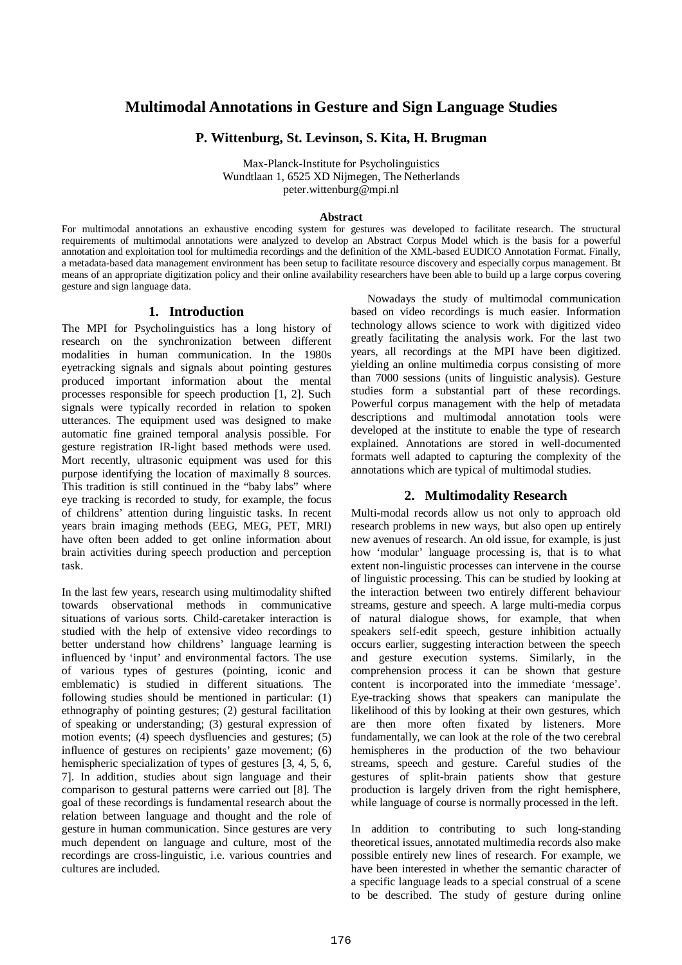# **Multimodal Annotations in Gesture and Sign Language Studies**

## **P. Wittenburg, St. Levinson, S. Kita, H. Brugman**

Max-Planck-Institute for Psycholinguistics Wundtlaan 1, 6525 XD Nijmegen, The Netherlands peter.wittenburg@mpi.nl

## **Abstract**

For multimodal annotations an exhaustive encoding system for gestures was developed to facilitate research. The structural requirements of multimodal annotations were analyzed to develop an Abstract Corpus Model which is the basis for a powerful annotation and exploitation tool for multimedia recordings and the definition of the XML-based EUDICO Annotation Format. Finally, a metadata-based data management environment has been setup to facilitate resource discovery and especially corpus management. Bt means of an appropriate digitization policy and their online availability researchers have been able to build up a large corpus covering gesture and sign language data.

## **1. Introduction**

The MPI for Psycholinguistics has a long history of research on the synchronization between different modalities in human communication. In the 1980s eyetracking signals and signals about pointing gestures produced important information about the mental processes responsible for speech production [1, 2]. Such signals were typically recorded in relation to spoken utterances. The equipment used was designed to make automatic fine grained temporal analysis possible. For gesture registration IR-light based methods were used. Mort recently, ultrasonic equipment was used for this purpose identifying the location of maximally 8 sources. This tradition is still continued in the "baby labs" where eye tracking is recorded to study, for example, the focus of childrens' attention during linguistic tasks. In recent years brain imaging methods (EEG, MEG, PET, MRI) have often been added to get online information about brain activities during speech production and perception task.

In the last few years, research using multimodality shifted towards observational methods in communicative situations of various sorts. Child-caretaker interaction is studied with the help of extensive video recordings to better understand how childrens' language learning is influenced by 'input' and environmental factors. The use of various types of gestures (pointing, iconic and emblematic) is studied in different situations. The following studies should be mentioned in particular: (1) ethnography of pointing gestures; (2) gestural facilitation of speaking or understanding; (3) gestural expression of motion events; (4) speech dysfluencies and gestures; (5) influence of gestures on recipients' gaze movement; (6) hemispheric specialization of types of gestures [3, 4, 5, 6, 7]. In addition, studies about sign language and their comparison to gestural patterns were carried out [8]. The goal of these recordings is fundamental research about the relation between language and thought and the role of gesture in human communication. Since gestures are very much dependent on language and culture, most of the recordings are cross-linguistic, i.e. various countries and cultures are included.

Nowadays the study of multimodal communication based on video recordings is much easier. Information technology allows science to work with digitized video greatly facilitating the analysis work. For the last two years, all recordings at the MPI have been digitized. yielding an online multimedia corpus consisting of more than 7000 sessions (units of linguistic analysis). Gesture studies form a substantial part of these recordings. Powerful corpus management with the help of metadata descriptions and multimodal annotation tools were developed at the institute to enable the type of research explained. Annotations are stored in well-documented formats well adapted to capturing the complexity of the annotations which are typical of multimodal studies.

## **2. Multimodality Research**

Multi-modal records allow us not only to approach old research problems in new ways, but also open up entirely new avenues of research. An old issue, for example, is just how 'modular' language processing is, that is to what extent non-linguistic processes can intervene in the course of linguistic processing. This can be studied by looking at the interaction between two entirely different behaviour streams, gesture and speech. A large multi-media corpus of natural dialogue shows, for example, that when speakers self-edit speech, gesture inhibition actually occurs earlier, suggesting interaction between the speech and gesture execution systems. Similarly, in the comprehension process it can be shown that gesture content is incorporated into the immediate 'message'. Eye-tracking shows that speakers can manipulate the likelihood of this by looking at their own gestures, which are then more often fixated by listeners. More fundamentally, we can look at the role of the two cerebral hemispheres in the production of the two behaviour streams, speech and gesture. Careful studies of the gestures of split-brain patients show that gesture production is largely driven from the right hemisphere, while language of course is normally processed in the left.

In addition to contributing to such long-standing theoretical issues, annotated multimedia records also make possible entirely new lines of research. For example, we have been interested in whether the semantic character of a specific language leads to a special construal of a scene to be described. The study of gesture during online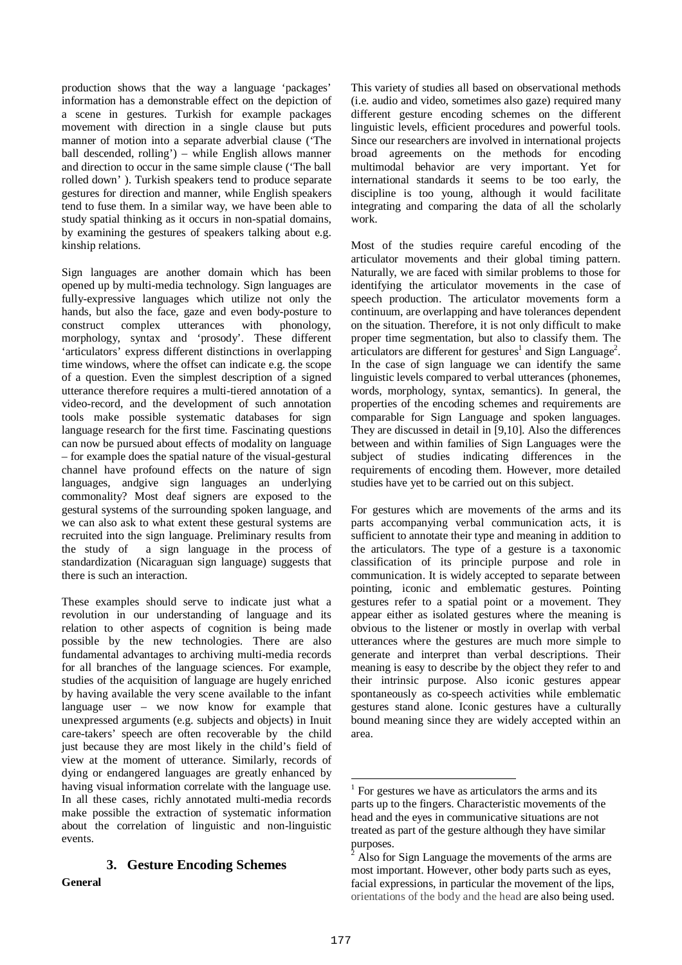production shows that the way a language 'packages' information has a demonstrable effect on the depiction of a scene in gestures. Turkish for example packages movement with direction in a single clause but puts manner of motion into a separate adverbial clause ('The ball descended, rolling') – while English allows manner and direction to occur in the same simple clause ('The ball rolled down' ). Turkish speakers tend to produce separate gestures for direction and manner, while English speakers tend to fuse them. In a similar way, we have been able to study spatial thinking as it occurs in non-spatial domains, by examining the gestures of speakers talking about e.g. kinship relations.

Sign languages are another domain which has been opened up by multi-media technology. Sign languages are fully-expressive languages which utilize not only the hands, but also the face, gaze and even body-posture to construct complex utterances with phonology, morphology, syntax and 'prosody'. These different 'articulators' express different distinctions in overlapping time windows, where the offset can indicate e.g. the scope of a question. Even the simplest description of a signed utterance therefore requires a multi-tiered annotation of a video-record, and the development of such annotation tools make possible systematic databases for sign language research for the first time. Fascinating questions can now be pursued about effects of modality on language – for example does the spatial nature of the visual-gestural channel have profound effects on the nature of sign languages, andgive sign languages an underlying commonality? Most deaf signers are exposed to the gestural systems of the surrounding spoken language, and we can also ask to what extent these gestural systems are recruited into the sign language. Preliminary results from the study of a sign language in the process of standardization (Nicaraguan sign language) suggests that there is such an interaction.

These examples should serve to indicate just what a revolution in our understanding of language and its relation to other aspects of cognition is being made possible by the new technologies. There are also fundamental advantages to archiving multi-media records for all branches of the language sciences. For example, studies of the acquisition of language are hugely enriched by having available the very scene available to the infant language user – we now know for example that unexpressed arguments (e.g. subjects and objects) in Inuit care-takers' speech are often recoverable by the child just because they are most likely in the child's field of view at the moment of utterance. Similarly, records of dying or endangered languages are greatly enhanced by having visual information correlate with the language use. In all these cases, richly annotated multi-media records make possible the extraction of systematic information about the correlation of linguistic and non-linguistic events.

## **3. Gesture Encoding Schemes**

**General**

This variety of studies all based on observational methods (i.e. audio and video, sometimes also gaze) required many different gesture encoding schemes on the different linguistic levels, efficient procedures and powerful tools. Since our researchers are involved in international projects broad agreements on the methods for encoding multimodal behavior are very important. Yet for international standards it seems to be too early, the discipline is too young, although it would facilitate integrating and comparing the data of all the scholarly work.

Most of the studies require careful encoding of the articulator movements and their global timing pattern. Naturally, we are faced with similar problems to those for identifying the articulator movements in the case of speech production. The articulator movements form a continuum, are overlapping and have tolerances dependent on the situation. Therefore, it is not only difficult to make proper time segmentation, but also to classify them. The articulators are different for gestures<sup>1</sup> and Sign Language<sup>2</sup>. In the case of sign language we can identify the same linguistic levels compared to verbal utterances (phonemes, words, morphology, syntax, semantics). In general, the properties of the encoding schemes and requirements are comparable for Sign Language and spoken languages. They are discussed in detail in [9,10]. Also the differences between and within families of Sign Languages were the subject of studies indicating differences in the requirements of encoding them. However, more detailed studies have yet to be carried out on this subject.

For gestures which are movements of the arms and its parts accompanying verbal communication acts, it is sufficient to annotate their type and meaning in addition to the articulators. The type of a gesture is a taxonomic classification of its principle purpose and role in communication. It is widely accepted to separate between pointing, iconic and emblematic gestures. Pointing gestures refer to a spatial point or a movement. They appear either as isolated gestures where the meaning is obvious to the listener or mostly in overlap with verbal utterances where the gestures are much more simple to generate and interpret than verbal descriptions. Their meaning is easy to describe by the object they refer to and their intrinsic purpose. Also iconic gestures appear spontaneously as co-speech activities while emblematic gestures stand alone. Iconic gestures have a culturally bound meaning since they are widely accepted within an area.

 $\overline{a}$ 

 $1$  For gestures we have as articulators the arms and its parts up to the fingers. Characteristic movements of the head and the eyes in communicative situations are not treated as part of the gesture although they have similar purposes.

Also for Sign Language the movements of the arms are most important. However, other body parts such as eyes, facial expressions, in particular the movement of the lips, orientations of the body and the head are also being used.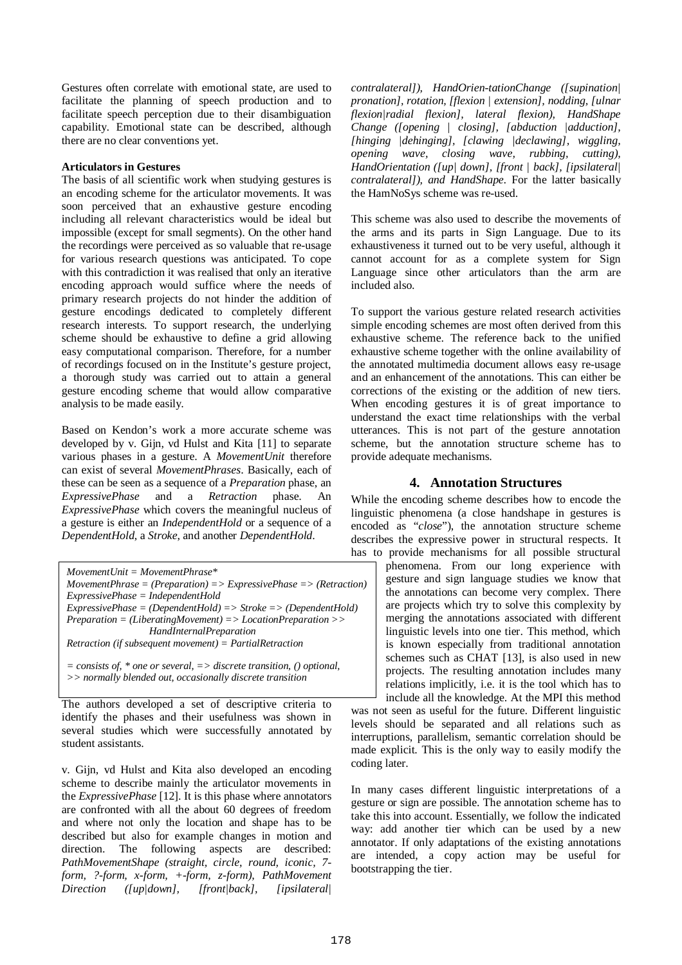Gestures often correlate with emotional state, are used to facilitate the planning of speech production and to facilitate speech perception due to their disambiguation capability. Emotional state can be described, although there are no clear conventions yet.

## **Articulators in Gestures**

The basis of all scientific work when studying gestures is an encoding scheme for the articulator movements. It was soon perceived that an exhaustive gesture encoding including all relevant characteristics would be ideal but impossible (except for small segments). On the other hand the recordings were perceived as so valuable that re-usage for various research questions was anticipated. To cope with this contradiction it was realised that only an iterative encoding approach would suffice where the needs of primary research projects do not hinder the addition of gesture encodings dedicated to completely different research interests. To support research, the underlying scheme should be exhaustive to define a grid allowing easy computational comparison. Therefore, for a number of recordings focused on in the Institute's gesture project, a thorough study was carried out to attain a general gesture encoding scheme that would allow comparative analysis to be made easily.

Based on Kendon's work a more accurate scheme was developed by v. Gijn, vd Hulst and Kita [11] to separate various phases in a gesture. A *MovementUnit* therefore can exist of several *MovementPhrases*. Basically, each of these can be seen as a sequence of a *Preparation* phase, an *ExpressivePhase* and a *Retraction* phase. An *ExpressivePhase* and a *Retraction* phase. An *ExpressivePhase* which covers the meaningful nucleus of a gesture is either an *IndependentHold* or a sequence of a *DependentHold*, a *Stroke*, and another *DependentHold*.

*MovementUnit = MovementPhrase\* MovementPhrase = (Preparation) => ExpressivePhase => (Retraction) ExpressivePhase = IndependentHold ExpressivePhase = (DependentHold) => Stroke => (DependentHold) Preparation = (LiberatingMovement) => LocationPreparation >> HandInternalPreparation Retraction (if subsequent movement) = PartialRetraction*

*= consists of, \* one or several, => discrete transition, () optional, >> normally blended out, occasionally discrete transition*

The authors developed a set of descriptive criteria to identify the phases and their usefulness was shown in several studies which were successfully annotated by student assistants.

v. Gijn, vd Hulst and Kita also developed an encoding scheme to describe mainly the articulator movements in the *ExpressivePhase* [12]. It is this phase where annotators are confronted with all the about 60 degrees of freedom and where not only the location and shape has to be described but also for example changes in motion and direction. The following aspects are described: *PathMovementShape (straight, circle, round, iconic, 7 form, ?-form, x-form, +-form, z-form), PathMovement Direction ([up|down], [front|back], [ipsilateral|*

*contralateral]), HandOrien-tationChange ([supination| pronation], rotation, [flexion | extension], nodding, [ulnar flexion|radial flexion], lateral flexion), HandShape Change ([opening | closing], [abduction |adduction], [hinging |dehinging], [clawing |declawing], wiggling, opening wave, closing wave, rubbing, cutting), HandOrientation ([up| down], [front | back], [ipsilateral| contralateral]), and HandShape*. For the latter basically the HamNoSys scheme was re-used.

This scheme was also used to describe the movements of the arms and its parts in Sign Language. Due to its exhaustiveness it turned out to be very useful, although it cannot account for as a complete system for Sign Language since other articulators than the arm are included also.

To support the various gesture related research activities simple encoding schemes are most often derived from this exhaustive scheme. The reference back to the unified exhaustive scheme together with the online availability of the annotated multimedia document allows easy re-usage and an enhancement of the annotations. This can either be corrections of the existing or the addition of new tiers. When encoding gestures it is of great importance to understand the exact time relationships with the verbal utterances. This is not part of the gesture annotation scheme, but the annotation structure scheme has to provide adequate mechanisms.

## **4. Annotation Structures**

While the encoding scheme describes how to encode the linguistic phenomena (a close handshape in gestures is encoded as "*close*"), the annotation structure scheme describes the expressive power in structural respects. It has to provide mechanisms for all possible structural

phenomena. From our long experience with gesture and sign language studies we know that the annotations can become very complex. There are projects which try to solve this complexity by merging the annotations associated with different linguistic levels into one tier. This method, which is known especially from traditional annotation schemes such as CHAT [13], is also used in new projects. The resulting annotation includes many relations implicitly, i.e. it is the tool which has to include all the knowledge. At the MPI this method

was not seen as useful for the future. Different linguistic levels should be separated and all relations such as interruptions, parallelism, semantic correlation should be made explicit. This is the only way to easily modify the coding later.

In many cases different linguistic interpretations of a gesture or sign are possible. The annotation scheme has to take this into account. Essentially, we follow the indicated way: add another tier which can be used by a new annotator. If only adaptations of the existing annotations are intended, a copy action may be useful for bootstrapping the tier.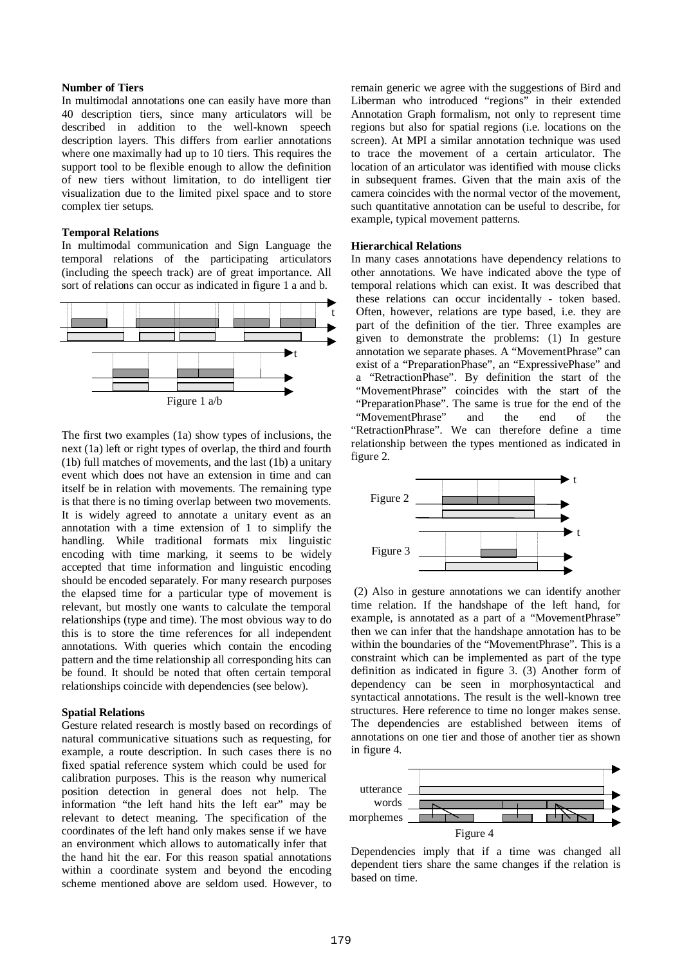## **Number of Tiers**

In multimodal annotations one can easily have more than 40 description tiers, since many articulators will be described in addition to the well-known speech description layers. This differs from earlier annotations where one maximally had up to 10 tiers. This requires the support tool to be flexible enough to allow the definition of new tiers without limitation, to do intelligent tier visualization due to the limited pixel space and to store complex tier setups.

#### **Temporal Relations**

In multimodal communication and Sign Language the temporal relations of the participating articulators (including the speech track) are of great importance. All sort of relations can occur as indicated in figure 1 a and b.



The first two examples (1a) show types of inclusions, the next (1a) left or right types of overlap, the third and fourth (1b) full matches of movements, and the last (1b) a unitary event which does not have an extension in time and can itself be in relation with movements. The remaining type is that there is no timing overlap between two movements. It is widely agreed to annotate a unitary event as an annotation with a time extension of 1 to simplify the handling. While traditional formats mix linguistic encoding with time marking, it seems to be widely accepted that time information and linguistic encoding should be encoded separately. For many research purposes the elapsed time for a particular type of movement is relevant, but mostly one wants to calculate the temporal relationships (type and time). The most obvious way to do this is to store the time references for all independent annotations. With queries which contain the encoding pattern and the time relationship all corresponding hits can be found. It should be noted that often certain temporal relationships coincide with dependencies (see below).

#### **Spatial Relations**

Gesture related research is mostly based on recordings of natural communicative situations such as requesting, for example, a route description. In such cases there is no fixed spatial reference system which could be used for calibration purposes. This is the reason why numerical position detection in general does not help. The information "the left hand hits the left ear" may be relevant to detect meaning. The specification of the coordinates of the left hand only makes sense if we have an environment which allows to automatically infer that the hand hit the ear. For this reason spatial annotations within a coordinate system and beyond the encoding scheme mentioned above are seldom used. However, to

remain generic we agree with the suggestions of Bird and Liberman who introduced "regions" in their extended Annotation Graph formalism, not only to represent time regions but also for spatial regions (i.e. locations on the screen). At MPI a similar annotation technique was used to trace the movement of a certain articulator. The location of an articulator was identified with mouse clicks in subsequent frames. Given that the main axis of the camera coincides with the normal vector of the movement, such quantitative annotation can be useful to describe, for example, typical movement patterns.

#### **Hierarchical Relations**

In many cases annotations have dependency relations to other annotations. We have indicated above the type of temporal relations which can exist. It was described that these relations can occur incidentally - token based. Often, however, relations are type based, i.e. they are part of the definition of the tier. Three examples are given to demonstrate the problems: (1) In gesture annotation we separate phases. A "MovementPhrase" can exist of a "PreparationPhase", an "ExpressivePhase" and a "RetractionPhase". By definition the start of the "MovementPhrase" coincides with the start of the "PreparationPhase". The same is true for the end of the "MovementPhrase" and the end of the "RetractionPhrase". We can therefore define a time relationship between the types mentioned as indicated in figure 2.



(2) Also in gesture annotations we can identify another time relation. If the handshape of the left hand, for example, is annotated as a part of a "MovementPhrase" then we can infer that the handshape annotation has to be within the boundaries of the "MovementPhrase". This is a constraint which can be implemented as part of the type definition as indicated in figure 3. (3) Another form of dependency can be seen in morphosyntactical and syntactical annotations. The result is the well-known tree structures. Here reference to time no longer makes sense. The dependencies are established between items of annotations on one tier and those of another tier as shown in figure 4.



Dependencies imply that if a time was changed all dependent tiers share the same changes if the relation is based on time.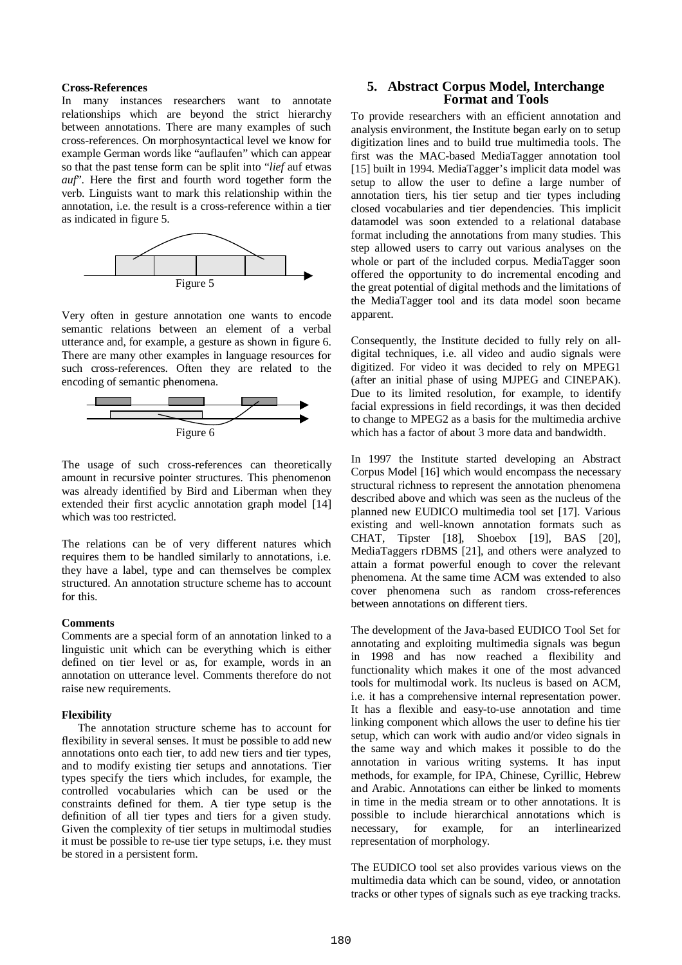### **Cross-References**

In many instances researchers want to annotate relationships which are beyond the strict hierarchy between annotations. There are many examples of such cross-references. On morphosyntactical level we know for example German words like "auflaufen" which can appear so that the past tense form can be split into " *lief* auf etwas *auf*". Here the first and fourth word together form the verb. Linguists want to mark this relationship within the annotation, i.e. the result is a cross-reference within a tier as indicated in figure 5.



Very often in gesture annotation one wants to encode semantic relations between an element of a verbal utterance and, for example, a gesture as shown in figure 6. There are many other examples in language resources for such cross-references. Often they are related to the encoding of semantic phenomena.



The usage of such cross-references can theoretically amount in recursive pointer structures. This phenomenon was already identified by Bird and Liberman when they extended their first acyclic annotation graph model [14] which was too restricted.

The relations can be of very different natures which requires them to be handled similarly to annotations, i.e. they have a label, type and can themselves be complex structured. An annotation structure scheme has to account for this.

#### **Comments**

Comments are a special form of an annotation linked to a linguistic unit which can be everything which is either defined on tier level or as, for example, words in an annotation on utterance level. Comments therefore do not raise new requirements.

#### **Flexibility**

The annotation structure scheme has to account for flexibility in several senses. It must be possible to add new annotations onto each tier, to add new tiers and tier types, and to modify existing tier setups and annotations. Tier types specify the tiers which includes, for example, the controlled vocabularies which can be used or the constraints defined for them. A tier type setup is the definition of all tier types and tiers for a given study. Given the complexity of tier setups in multimodal studies it must be possible to re-use tier type setups, i.e. they must be stored in a persistent form.

## **5. Abstract Corpus Model, Interchange Format and Tools**

To provide researchers with an efficient annotation and analysis environment, the Institute began early on to setup digitization lines and to build true multimedia tools. The first was the MAC-based MediaTagger annotation tool [15] built in 1994. MediaTagger's implicit data model was setup to allow the user to define a large number of annotation tiers, his tier setup and tier types including closed vocabularies and tier dependencies. This implicit datamodel was soon extended to a relational database format including the annotations from many studies. This step allowed users to carry out various analyses on the whole or part of the included corpus. MediaTagger soon offered the opportunity to do incremental encoding and the great potential of digital methods and the limitations of the MediaTagger tool and its data model soon became apparent.

Consequently, the Institute decided to fully rely on alldigital techniques, i.e. all video and audio signals were digitized. For video it was decided to rely on MPEG1 (after an initial phase of using MJPEG and CINEPAK). Due to its limited resolution, for example, to identify facial expressions in field recordings, it was then decided to change to MPEG2 as a basis for the multimedia archive which has a factor of about 3 more data and bandwidth.

In 1997 the Institute started developing an Abstract Corpus Model [16] which would encompass the necessary structural richness to represent the annotation phenomena described above and which was seen as the nucleus of the planned new EUDICO multimedia tool set [17]. Various existing and well-known annotation formats such as CHAT, Tipster [18], Shoebox [19], BAS [20], MediaTaggers rDBMS [21], and others were analyzed to attain a format powerful enough to cover the relevant phenomena. At the same time ACM was extended to also cover phenomena such as random cross-references between annotations on different tiers.

The development of the Java-based EUDICO Tool Set for annotating and exploiting multimedia signals was begun in 1998 and has now reached a flexibility and functionality which makes it one of the most advanced tools for multimodal work. Its nucleus is based on ACM, i.e. it has a comprehensive internal representation power. It has a flexible and easy-to-use annotation and time linking component which allows the user to define his tier setup, which can work with audio and/or video signals in the same way and which makes it possible to do the annotation in various writing systems. It has input methods, for example, for IPA, Chinese, Cyrillic, Hebrew and Arabic. Annotations can either be linked to moments in time in the media stream or to other annotations. It is possible to include hierarchical annotations which is necessary, for example, for an interlinearized representation of morphology.

The EUDICO tool set also provides various views on the multimedia data which can be sound, video, or annotation tracks or other types of signals such as eye tracking tracks.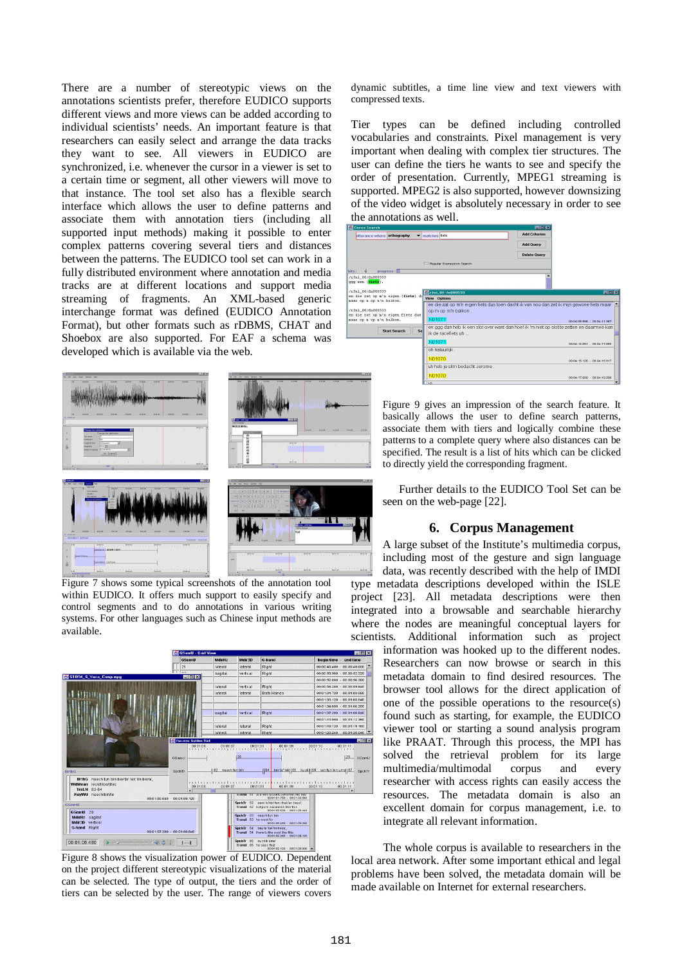There are a number of stereotypic views on the annotations scientists prefer, therefore EUDICO supports different views and more views can be added according to individual scientists' needs. An important feature is that researchers can easily select and arrange the data tracks they want to see. All viewers in EUDICO are synchronized, i.e. whenever the cursor in a viewer is set to a certain time or segment, all other viewers will move to that instance. The tool set also has a flexible search interface which allows the user to define patterns and associate them with annotation tiers (including all supported input methods) making it possible to enter complex patterns covering several tiers and distances between the patterns. The EUDICO tool set can work in a fully distributed environment where annotation and media tracks are at different locations and support media streaming of fragments. An XML-based generic interchange format was defined (EUDICO Annotation Format), but other formats such as rDBMS, CHAT and Shoebox are also supported. For EAF a schema was developed which is available via the web.





Figure 7 shows some typical screenshots of the annotation tool within EUDICO. It offers much support to easily specify and control segments and to do annotations in various writing systems. For other languages such as Chinese input methods are available.



Figure 8 shows the visualization power of EUDICO. Dependent on the project different stereotypic visualizations of the material can be selected. The type of output, the tiers and the order of tiers can be selected by the user. The range of viewers covers

dynamic subtitles, a time line view and text viewers with compressed texts.

Tier types can be defined including controlled vocabularies and constraints. Pixel management is very important when dealing with complex tier structures. The user can define the tiers he wants to see and specify the order of presentation. Currently, MPEG1 streaming is supported. MPEG2 is also supported, however downsizing of the video widget is absolutely necessary in order to see the annotations as well.

| Corex Search                                                                                                                                  |                                                                                                                            | 国国网                  |                                  |
|-----------------------------------------------------------------------------------------------------------------------------------------------|----------------------------------------------------------------------------------------------------------------------------|----------------------|----------------------------------|
| utterance where orthography<br>▼                                                                                                              | matches fiets                                                                                                              | <b>Add Criterion</b> |                                  |
|                                                                                                                                               |                                                                                                                            | <b>Add Query</b>     |                                  |
|                                                                                                                                               |                                                                                                                            | <b>Delete Query</b>  |                                  |
|                                                                                                                                               | Regular Expression Search                                                                                                  |                      |                                  |
| process:<br>6<br>hits:                                                                                                                        |                                                                                                                            |                      |                                  |
| /r3n1 06/fn000533<br>ggg een (fiets).                                                                                                         |                                                                                                                            |                      |                                  |
| /r3n1 06/fn000533<br>en die zat op m'n eigen (fiets) du<br>maar op n op m'n balkon.                                                           | <b>Mitr3nL06-fn000533</b><br>View Options                                                                                  |                      | FER                              |
| /r3n1 06/fn000533<br>en die zat op m'n eigen fiets dus<br>maar op n op m'n balkon.                                                            | en die zat op m'n eigen fiets dus toen dacht ik van nou dan zet ik mijn gewone fiets maar<br>op m op m'n balkon.<br>N01071 |                      | 00:04:05.586 - 00:04:11.367      |
| en ggg dan heb ik een slot over want dan hoef ik 'm niet op slot te zetten en daarmee kan<br><b>Start Search</b><br>Sal<br>ik de racefiets uh |                                                                                                                            |                      |                                  |
|                                                                                                                                               | N01071                                                                                                                     |                      | 00:04:12.051 - 00:04:17.083      |
|                                                                                                                                               | oh natuurlijk.                                                                                                             |                      |                                  |
|                                                                                                                                               | N01070                                                                                                                     |                      | 00:04:15.126 - 00:04:15.917      |
|                                                                                                                                               | uh heb je slim bedacht Jerome.                                                                                             |                      |                                  |
| 同回文<br><b>PULSE</b><br>10,000                                                                                                                 | N01070<br>Tia                                                                                                              |                      | 00:04:17.908 - 00:04:19.398<br>₩ |
|                                                                                                                                               |                                                                                                                            |                      |                                  |

Figure 9 gives an impression of the search feature. It basically allows the user to define search patterns, associate them with tiers and logically combine these patterns to a complete query where also distances can be specified. The result is a list of hits which can be clicked to directly yield the corresponding fragment.

Further details to the EUDICO Tool Set can be seen on the web-page [22].

#### **6. Corpus Management**

A large subset of the Institute's multimedia corpus, including most of the gesture and sign language data, was recently described with the help of IMDI type metadata descriptions developed within the ISLE

project [23]. All metadata descriptions were then integrated into a browsable and searchable hierarchy where the nodes are meaningful conceptual layers for scientists. Additional information such as project

information was hooked up to the different nodes. Researchers can now browse or search in this metadata domain to find desired resources. The browser tool allows for the direct application of one of the possible operations to the resource(s) found such as starting, for example, the EUDICO viewer tool or starting a sound analysis program like PRAAT. Through this process, the MPI has solved the retrieval problem for its large multimedia/multimodal corpus and every researcher with access rights can easily access the resources. The metadata domain is also an excellent domain for corpus management, i.e. to integrate all relevant information.

The whole corpus is available to researchers in the local area network. After some important ethical and legal problems have been solved, the metadata domain will be made available on Internet for external researchers.